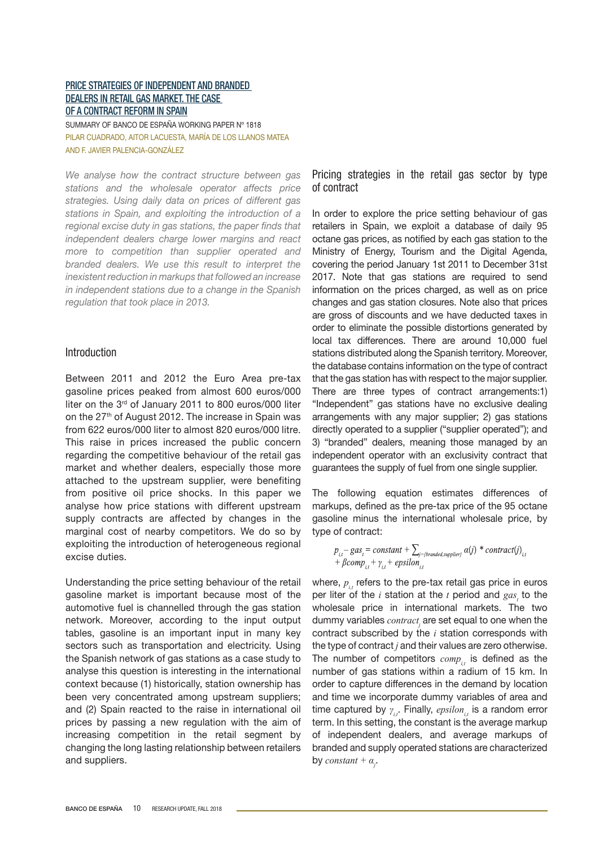## [PRICE STRATEGIES](https://www.bde.es/f/webbde/SES/Secciones/Publicaciones/PublicacionesSeriadas/DocumentosTrabajo/18/Files/dt1818e.pdf) OF INDEPENDENT AND BRANDED DEALERS IN RETAIL GAS [MARKET. THE CASE](https://www.bde.es/f/webbde/SES/Secciones/Publicaciones/PublicacionesSeriadas/DocumentosTrabajo/18/Files/dt1818e.pdf)  OF A CONTRACT [REFORM](https://www.bde.es/f/webbde/SES/Secciones/Publicaciones/PublicacionesSeriadas/DocumentosTrabajo/18/Files/dt1818e.pdf) IN SPAIN

SUMMARY OF BANCO DE ESPAÑA WORKING PAPER Nº 1818 PILAR CUADRADO, AITOR LACUESTA, MARÍA DE LOS LLANOS MATEA AND F. JAVIER PALENCIA-GONZÁLEZ

*We analyse how the contract structure between gas stations and the wholesale operator affects price strategies. Using daily data on prices of different gas stations in Spain, and exploiting the introduction of a regional excise duty in gas stations, the paper finds that independent dealers charge lower margins and react more to competition than supplier operated and branded dealers. We use this result to interpret the inexistent reduction in markups that followed an increase in independent stations due to a change in the Spanish regulation that took place in 2013.* 

## Introduction

Between 2011 and 2012 the Euro Area pre-tax gasoline prices peaked from almost 600 euros/000 liter on the 3<sup>rd</sup> of January 2011 to 800 euros/000 liter on the 27<sup>th</sup> of August 2012. The increase in Spain was from 622 euros/000 liter to almost 820 euros/000 litre. This raise in prices increased the public concern regarding the competitive behaviour of the retail gas market and whether dealers, especially those more attached to the upstream supplier, were benefiting from positive oil price shocks. In this paper we analyse how price stations with different upstream supply contracts are affected by changes in the marginal cost of nearby competitors. We do so by exploiting the introduction of heterogeneous regional excise duties.

Understanding the price setting behaviour of the retail gasoline market is important because most of the automotive fuel is channelled through the gas station network. Moreover, according to the input output tables, gasoline is an important input in many key sectors such as transportation and electricity. Using the Spanish network of gas stations as a case study to analyse this question is interesting in the international context because (1) historically, station ownership has been very concentrated among upstream suppliers; and (2) Spain reacted to the raise in international oil prices by passing a new regulation with the aim of increasing competition in the retail segment by changing the long lasting relationship between retailers and suppliers.

Pricing strategies in the retail gas sector by type of contract

In order to explore the price setting behaviour of gas retailers in Spain, we exploit a database of daily 95 octane gas prices, as notified by each gas station to the Ministry of Energy, Tourism and the Digital Agenda, covering the period January 1st 2011 to December 31st 2017. Note that gas stations are required to send information on the prices charged, as well as on price changes and gas station closures. Note also that prices are gross of discounts and we have deducted taxes in order to eliminate the possible distortions generated by local tax differences. There are around 10,000 fuel stations distributed along the Spanish territory. Moreover, the database contains information on the type of contract that the gas station has with respect to the major supplier. There are three types of contract arrangements:1) "Independent" gas stations have no exclusive dealing arrangements with any major supplier; 2) gas stations directly operated to a supplier ("supplier operated"); and 3) "branded" dealers, meaning those managed by an independent operator with an exclusivity contract that guarantees the supply of fuel from one single supplier.

The following equation estimates differences of markups, defined as the pre-tax price of the 95 octane gasoline minus the international wholesale price, by type of contract:

$$
p_{i,t} - gas_t = constant + \sum_{j= {branched, supplier} } \alpha(j) * contract(j)_{i,t}
$$
  
+  $\beta comp_{i,t} + \gamma_{i,t} + epsilon_{i,t}$ 

where,  $p_{i}$  refers to the pre-tax retail gas price in euros per liter of the *i* station at the *t* period and *gas* to the wholesale price in international markets. The two dummy variables *contract<sub>j</sub>* are set equal to one when the contract subscribed by the *i* station corresponds with the type of contract *j* and their values are zero otherwise. The number of competitors  $comp_{i,t}$  is defined as the number of gas stations within a radium of 15 km. In order to capture differences in the demand by location and time we incorporate dummy variables of area and time captured by *γ<sub>i</sub>*. Finally, *epsilon<sub>i</sub>* is a random error term. In this setting, the constant is the average markup of independent dealers, and average markups of branded and supply operated stations are characterized by *constant* +  $\alpha$ <sub>*j*</sub>.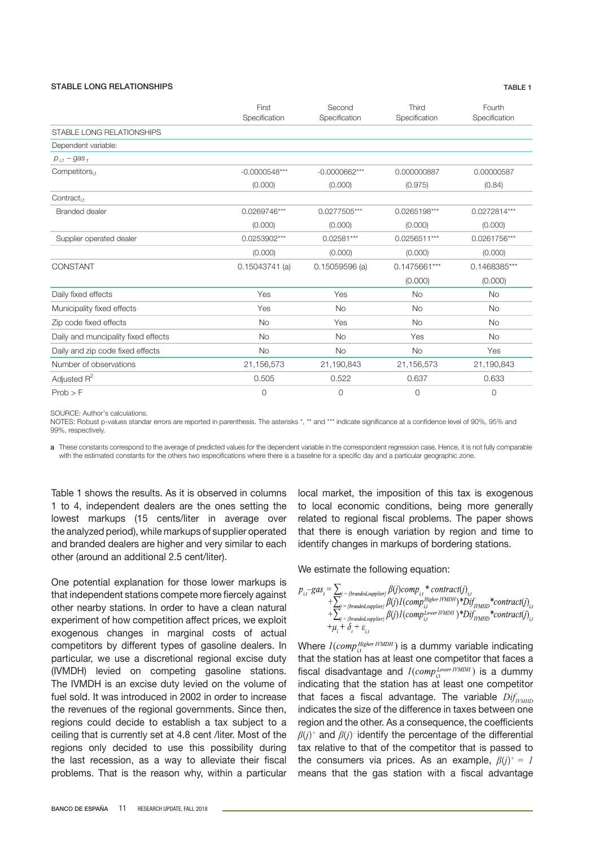## STABLE LONG RELATIONSHIPS TABLE 1

|                                     | First<br>Specification | Second<br>Specification | Third<br>Specification | Fourth<br>Specification |
|-------------------------------------|------------------------|-------------------------|------------------------|-------------------------|
| STABLE LONG RELATIONSHIPS           |                        |                         |                        |                         |
| Dependent variable:                 |                        |                         |                        |                         |
| $p_{i,t}$ – gas $_t$                |                        |                         |                        |                         |
| $Competitors_{i}$                   | $-0.0000548***$        | $-0.0000662***$         | 0.000000887            | 0.00000587              |
|                                     | (0.000)                | (0.000)                 | (0.975)                | (0.84)                  |
| $Contract_{i.t}$                    |                        |                         |                        |                         |
| <b>Branded dealer</b>               | 0.0269746***           | 0.0277505***            | 0.0265198***           | 0.0272814***            |
|                                     | (0.000)                | (0.000)                 | (0.000)                | (0.000)                 |
| Supplier operated dealer            | 0.0253902***           | $0.02581***$            | 0.0256511***           | 0.0261756***            |
|                                     | (0.000)                | (0.000)                 | (0.000)                | (0.000)                 |
| CONSTANT                            | $0.15043741$ (a)       | $0.15059596$ (a)        | 0.1475661***           | 0.1468385***            |
|                                     |                        |                         | (0.000)                | (0.000)                 |
| Daily fixed effects                 | Yes                    | Yes                     | <b>No</b>              | <b>No</b>               |
| Municipality fixed effects          | Yes                    | <b>No</b>               | <b>No</b>              | <b>No</b>               |
| Zip code fixed effects              | <b>No</b>              | Yes                     | <b>No</b>              | <b>No</b>               |
| Daily and muncipality fixed effects | <b>No</b>              | <b>No</b>               | Yes                    | <b>No</b>               |
| Daily and zip code fixed effects    | <b>No</b>              | <b>No</b>               | <b>No</b>              | Yes                     |
| Number of observations              | 21,156,573             | 21,190,843              | 21,156,573             | 21,190,843              |
| Adjusted $R^2$                      | 0.505                  | 0.522                   | 0.637                  | 0.633                   |
| $Prob$ > $F$                        | 0                      | $\overline{0}$          | $\overline{0}$         | $\Omega$                |

SOURCE: Author's calculations.

NOTES: Robust p-values standar errors are reported in parenthesis. The asterisks \*, \*\* and \*\*\* indicate significance at a confidence level of 90%, 95% and 99%, respectively.

a These constants correspond to the average of predicted values for the dependent variable in the correspondent regression case. Hence, it is not fully comparable with the estimated constants for the others two especifications where there is a baseline for a specific day and a particular geographic zone.

Table 1 shows the results. As it is observed in columns 1 to 4, independent dealers are the ones setting the lowest markups (15 cents/liter in average over the analyzed period), while markups of supplier operated and branded dealers are higher and very similar to each other (around an additional 2.5 cent/liter).

One potential explanation for those lower markups is that independent stations compete more fiercely against other nearby stations. In order to have a clean natural experiment of how competition affect prices, we exploit exogenous changes in marginal costs of actual competitors by different types of gasoline dealers. In particular, we use a discretional regional excise duty (IVMDH) levied on competing gasoline stations. The IVMDH is an excise duty levied on the volume of fuel sold. It was introduced in 2002 in order to increase the revenues of the regional governments. Since then, regions could decide to establish a tax subject to a ceiling that is currently set at 4.8 cent /liter. Most of the regions only decided to use this possibility during the last recession, as a way to alleviate their fiscal problems. That is the reason why, within a particular

local market, the imposition of this tax is exogenous to local economic conditions, being more generally related to regional fiscal problems. The paper shows that there is enough variation by region and time to identify changes in markups of bordering stations.

We estimate the following equation:

$$
\begin{array}{l} p_{i,t}-gas_t = \sum_{j=\{branded, supplier\}} \beta(j)comp_{i,t}^{*} contract(j)_{i,t} \\ + \sum_{j=\{branded, supplier\}} \beta(j) 1 (comp_{i,t}^{Higher\,IVMDH})^{*}Dif_{IVMHD}^{*} * contract(j)_{i,t} \\ + \sum_{j=\{branded, supplier\}} \beta(j) 1 (comp_{i,t}^{Lower\,IVMDH})^{*}Dif_{IVMHD}^{*} * contract(j)_{i,t} \\ + \mu_i + \delta_i + \varepsilon_{i,t} \end{array}
$$

Where  $I_{(comp^{Higher\,IVMDH}_{i,j}})$  is a dummy variable indicating that the station has at least one competitor that faces a fiscal disadvantage and  $I_{(comp_{it}^{Lower\,IWMDH})}$  is a dummy indicating that the station has at least one competitor that faces a fiscal advantage. The variable  $\text{Dif}_{\text{IVMHD}}$ indicates the size of the difference in taxes between one region and the other. As a consequence, the coefficients  $\beta(j)^+$  and  $\beta(j)^-$  identify the percentage of the differential tax relative to that of the competitor that is passed to the consumers via prices. As an example, *β*(*j*)*+ = 1* means that the gas station with a fiscal advantage